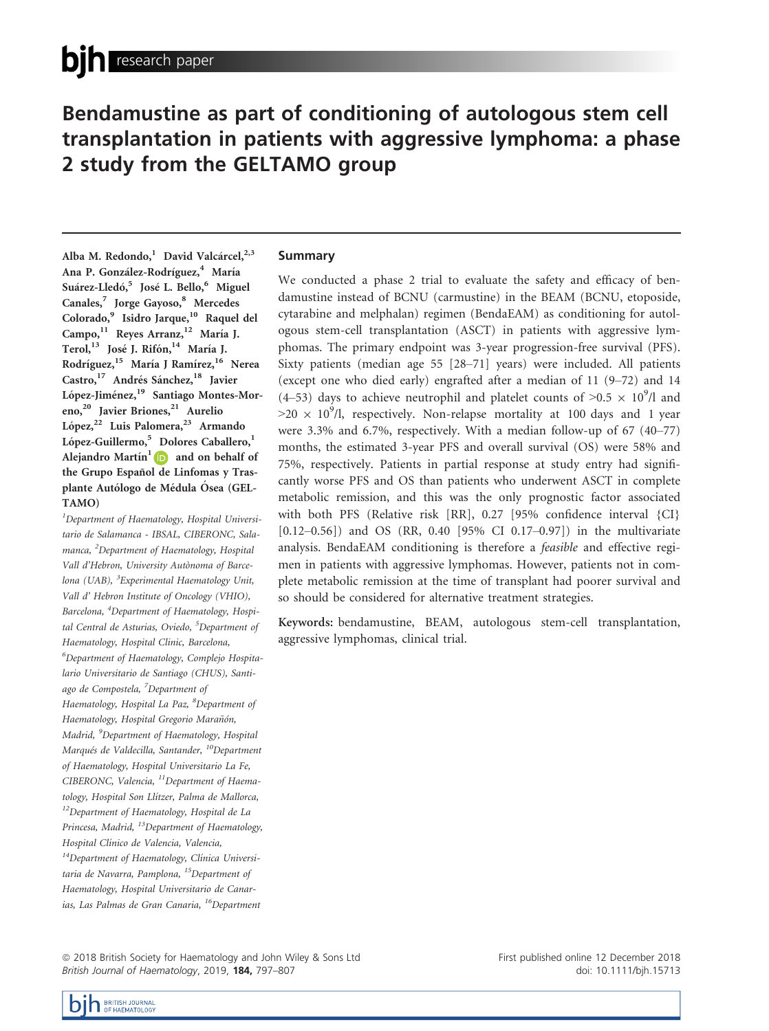# Bendamustine as part of conditioning of autologous stem cell transplantation in patients with aggressive lymphoma: a phase 2 study from the GELTAMO group

Alba M. Redondo,<sup>1</sup> David Valcárcel,<sup>2,3</sup> Ana P. González-Rodríguez,<sup>4</sup> María Suárez-Lledó,<sup>5</sup> José L. Bello,<sup>6</sup> Miguel Canales,<sup>7</sup> Jorge Gayoso,<sup>8</sup> Mercedes Colorado,<sup>9</sup> Isidro Jarque,<sup>10</sup> Raquel del Campo,  $11$  Reyes Arranz,  $12$  María J. Terol,<sup>13</sup> José J. Rifón,<sup>14</sup> María J. Rodríguez,<sup>15</sup> María J Ramírez,<sup>16</sup> Nerea Castro,<sup>17</sup> Andrés Sánchez,<sup>18</sup> Javier López-Jiménez,<sup>19</sup> Santiago Montes-Moreno,<sup>20</sup> Javier Briones,<sup>21</sup> Aurelio López,<sup>22</sup> Luis Palomera,<sup>23</sup> Armando López-Guillermo,<sup>5</sup> Dolores Caballero,<sup>1</sup> Alejandro Martín $\begin{bmatrix} 1 \\ 0 \end{bmatrix}$  and on behalf of the Grupo Español de Linfomas y Trasplante Autólogo de Médula Ósea (GEL-TAMO)

<sup>1</sup>Department of Haematology, Hospital Universitario de Salamanca - IBSAL, CIBERONC, Salamanca, <sup>2</sup>Department of Haematology, Hospital Vall d'Hebron, University Autònoma of Barcelona (UAB), <sup>3</sup>Experimental Haematology Unit, Vall d' Hebron Institute of Oncology (VHIO), Barcelona, <sup>4</sup>Department of Haematology, Hospital Central de Asturias, Oviedo, <sup>5</sup>Department of Haematology, Hospital Clinic, Barcelona, 6 Department of Haematology, Complejo Hospitalario Universitario de Santiago (CHUS), Santiago de Compostela, <sup>7</sup>Department of Haematology, Hospital La Paz, <sup>8</sup>Department of Haematology, Hospital Gregorio Marañón, Madrid, <sup>9</sup>Department of Haematology, Hospital Marqués de Valdecilla, Santander, <sup>10</sup>Department of Haematology, Hospital Universitario La Fe, CIBERONC, Valencia, <sup>11</sup>Department of Haematology, Hospital Son Llítzer, Palma de Mallorca,  $12$ Department of Haematology, Hospital de La Princesa, Madrid, <sup>13</sup>Department of Haematology, Hospital Clínico de Valencia, Valencia,  $14$ Department of Haematology, Clínica Universitaria de Navarra, Pamplona, <sup>15</sup>Department of Haematology, Hospital Universitario de Canarias, Las Palmas de Gran Canaria, <sup>16</sup>Department

## Summary

We conducted a phase 2 trial to evaluate the safety and efficacy of bendamustine instead of BCNU (carmustine) in the BEAM (BCNU, etoposide, cytarabine and melphalan) regimen (BendaEAM) as conditioning for autologous stem-cell transplantation (ASCT) in patients with aggressive lymphomas. The primary endpoint was 3-year progression-free survival (PFS). Sixty patients (median age 55 [28–71] years) were included. All patients (except one who died early) engrafted after a median of 11 (9–72) and 14 (4–53) days to achieve neutrophil and platelet counts of  $>0.5 \times 10^9$ /l and  $>$ 20  $\times$  10<sup>9</sup>/l, respectively. Non-relapse mortality at 100 days and 1 year were 3.3% and 6.7%, respectively. With a median follow-up of 67 (40–77) months, the estimated 3-year PFS and overall survival (OS) were 58% and 75%, respectively. Patients in partial response at study entry had significantly worse PFS and OS than patients who underwent ASCT in complete metabolic remission, and this was the only prognostic factor associated with both PFS (Relative risk [RR], 0.27 [95% confidence interval {CI} [0.12–0.56]) and OS (RR, 0.40 [95% CI 0.17–0.97]) in the multivariate analysis. BendaEAM conditioning is therefore a feasible and effective regimen in patients with aggressive lymphomas. However, patients not in complete metabolic remission at the time of transplant had poorer survival and so should be considered for alternative treatment strategies.

Keywords: bendamustine, BEAM, autologous stem-cell transplantation, aggressive lymphomas, clinical trial.

ª 2018 British Society for Haematology and John Wiley & Sons Ltd British Journal of Haematology, 2019, 184, 797–807

First published online 12 December 2018 doi: 10.1111/bjh.15713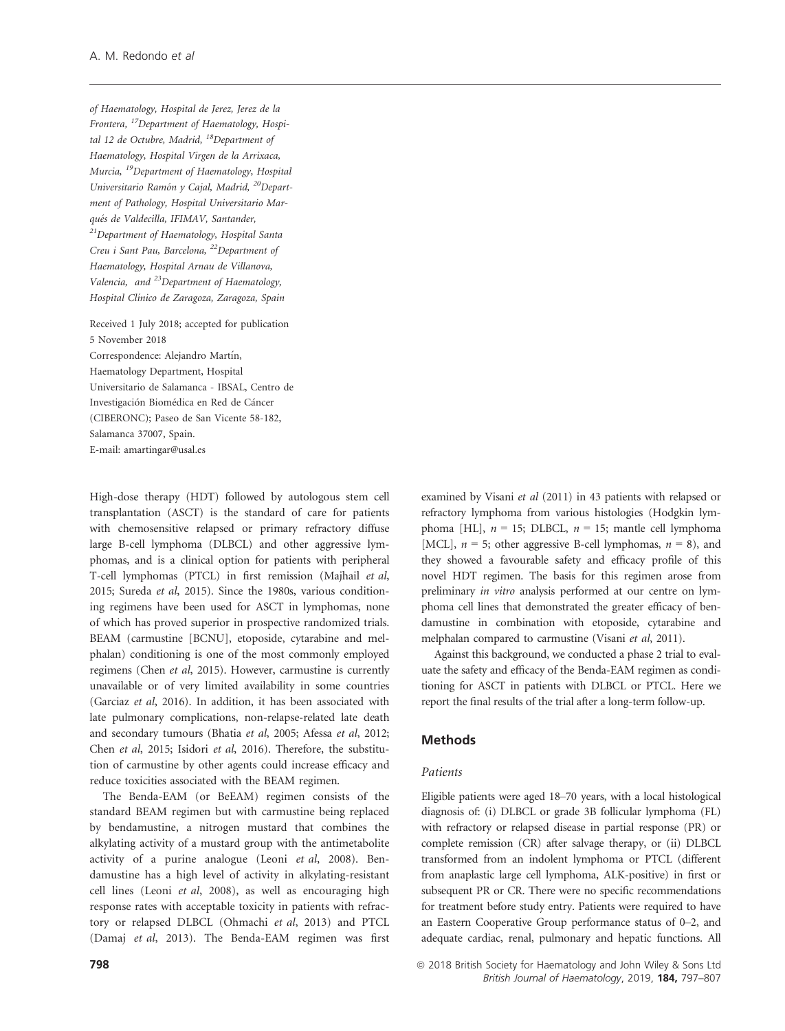of Haematology, Hospital de Jerez, Jerez de la Frontera, 17Department of Haematology, Hospital 12 de Octubre, Madrid,  $^{18}$ Department of Haematology, Hospital Virgen de la Arrixaca, Murcia, 19Department of Haematology, Hospital Universitario Ramón y Cajal, Madrid, <sup>20</sup>Department of Pathology, Hospital Universitario Marqués de Valdecilla, IFIMAV, Santander,  $^{21}$ Department of Haematology, Hospital Santa Creu i Sant Pau, Barcelona, <sup>22</sup>Department of Haematology, Hospital Arnau de Villanova, Valencia, and <sup>23</sup>Department of Haematology, Hospital Clínico de Zaragoza, Zaragoza, Spain

Received 1 July 2018; accepted for publication 5 November 2018 Correspondence: Alejandro Martín, Haematology Department, Hospital Universitario de Salamanca - IBSAL, Centro de Investigación Biomédica en Red de Cáncer (CIBERONC); Paseo de San Vicente 58-182, Salamanca 37007, Spain. E-mail: [amartingar@usal.es](mailto:)

High-dose therapy (HDT) followed by autologous stem cell transplantation (ASCT) is the standard of care for patients with chemosensitive relapsed or primary refractory diffuse large B-cell lymphoma (DLBCL) and other aggressive lymphomas, and is a clinical option for patients with peripheral T-cell lymphomas (PTCL) in first remission (Majhail et al, 2015; Sureda et al, 2015). Since the 1980s, various conditioning regimens have been used for ASCT in lymphomas, none of which has proved superior in prospective randomized trials. BEAM (carmustine [BCNU], etoposide, cytarabine and melphalan) conditioning is one of the most commonly employed regimens (Chen et al, 2015). However, carmustine is currently unavailable or of very limited availability in some countries (Garciaz et al, 2016). In addition, it has been associated with late pulmonary complications, non-relapse-related late death and secondary tumours (Bhatia et al, 2005; Afessa et al, 2012; Chen et al, 2015; Isidori et al, 2016). Therefore, the substitution of carmustine by other agents could increase efficacy and reduce toxicities associated with the BEAM regimen.

The Benda-EAM (or BeEAM) regimen consists of the standard BEAM regimen but with carmustine being replaced by bendamustine, a nitrogen mustard that combines the alkylating activity of a mustard group with the antimetabolite activity of a purine analogue (Leoni et al, 2008). Bendamustine has a high level of activity in alkylating-resistant cell lines (Leoni et al, 2008), as well as encouraging high response rates with acceptable toxicity in patients with refractory or relapsed DLBCL (Ohmachi et al, 2013) and PTCL (Damaj et al, 2013). The Benda-EAM regimen was first examined by Visani et al (2011) in 43 patients with relapsed or refractory lymphoma from various histologies (Hodgkin lymphoma [HL],  $n = 15$ ; DLBCL,  $n = 15$ ; mantle cell lymphoma [MCL],  $n = 5$ ; other aggressive B-cell lymphomas,  $n = 8$ ), and they showed a favourable safety and efficacy profile of this novel HDT regimen. The basis for this regimen arose from preliminary in vitro analysis performed at our centre on lymphoma cell lines that demonstrated the greater efficacy of bendamustine in combination with etoposide, cytarabine and melphalan compared to carmustine (Visani et al, 2011).

Against this background, we conducted a phase 2 trial to evaluate the safety and efficacy of the Benda-EAM regimen as conditioning for ASCT in patients with DLBCL or PTCL. Here we report the final results of the trial after a long-term follow-up.

# **Methods**

#### Patients

Eligible patients were aged 18–70 years, with a local histological diagnosis of: (i) DLBCL or grade 3B follicular lymphoma (FL) with refractory or relapsed disease in partial response (PR) or complete remission (CR) after salvage therapy, or (ii) DLBCL transformed from an indolent lymphoma or PTCL (different from anaplastic large cell lymphoma, ALK-positive) in first or subsequent PR or CR. There were no specific recommendations for treatment before study entry. Patients were required to have an Eastern Cooperative Group performance status of 0–2, and adequate cardiac, renal, pulmonary and hepatic functions. All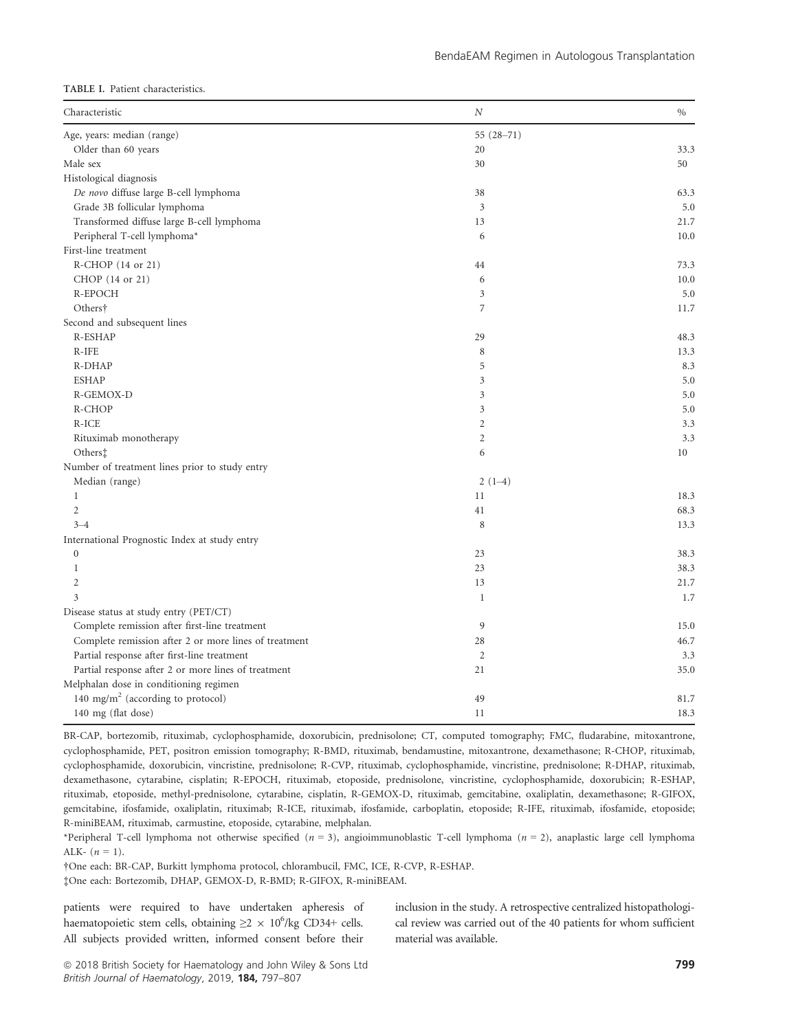TABLE I. Patient characteristics.

| Characteristic                                        | N              | $\%$ |
|-------------------------------------------------------|----------------|------|
| Age, years: median (range)                            | 55 $(28-71)$   |      |
| Older than 60 years                                   | 20             | 33.3 |
| Male sex                                              | 30             | 50   |
| Histological diagnosis                                |                |      |
| De novo diffuse large B-cell lymphoma                 | 38             | 63.3 |
| Grade 3B follicular lymphoma                          | $\mathfrak{Z}$ | 5.0  |
| Transformed diffuse large B-cell lymphoma             | 13             | 21.7 |
| Peripheral T-cell lymphoma*                           | 6              | 10.0 |
| First-line treatment                                  |                |      |
| R-CHOP (14 or 21)                                     | 44             | 73.3 |
| CHOP (14 or 21)                                       | 6              | 10.0 |
| R-EPOCH                                               | $\mathfrak{Z}$ | 5.0  |
| Others†                                               | 7              | 11.7 |
| Second and subsequent lines                           |                |      |
| R-ESHAP                                               | 29             | 48.3 |
| R-IFE                                                 | 8              | 13.3 |
| R-DHAP                                                | 5              | 8.3  |
| <b>ESHAP</b>                                          | 3              | 5.0  |
| R-GEMOX-D                                             | 3              | 5.0  |
| R-CHOP                                                | $\mathfrak{Z}$ | 5.0  |
| $R$ -ICE                                              | $\mathbf{2}$   | 3.3  |
| Rituximab monotherapy                                 | $\mathfrak{2}$ | 3.3  |
| Otherst                                               | 6              | 10   |
| Number of treatment lines prior to study entry        |                |      |
| Median (range)                                        | $2(1-4)$       |      |
| $\mathbf{1}$                                          | 11             | 18.3 |
| $\mathfrak{2}$                                        | 41             | 68.3 |
| $3 - 4$                                               | 8              | 13.3 |
| International Prognostic Index at study entry         |                |      |
| $\mathbf{0}$                                          | 23             | 38.3 |
| $\mathbf{1}$                                          | 23             | 38.3 |
| $\sqrt{2}$                                            | 13             | 21.7 |
| 3                                                     | $\mathbf{1}$   | 1.7  |
| Disease status at study entry (PET/CT)                |                |      |
| Complete remission after first-line treatment         | 9              | 15.0 |
| Complete remission after 2 or more lines of treatment | 28             | 46.7 |
| Partial response after first-line treatment           | $\mathfrak{2}$ | 3.3  |
| Partial response after 2 or more lines of treatment   | 21             | 35.0 |
| Melphalan dose in conditioning regimen                |                |      |
| 140 mg/m <sup>2</sup> (according to protocol)         | 49             | 81.7 |
| 140 mg (flat dose)                                    | 11             | 18.3 |

BR-CAP, bortezomib, rituximab, cyclophosphamide, doxorubicin, prednisolone; CT, computed tomography; FMC, fludarabine, mitoxantrone, cyclophosphamide, PET, positron emission tomography; R-BMD, rituximab, bendamustine, mitoxantrone, dexamethasone; R-CHOP, rituximab, cyclophosphamide, doxorubicin, vincristine, prednisolone; R-CVP, rituximab, cyclophosphamide, vincristine, prednisolone; R-DHAP, rituximab, dexamethasone, cytarabine, cisplatin; R-EPOCH, rituximab, etoposide, prednisolone, vincristine, cyclophosphamide, doxorubicin; R-ESHAP, rituximab, etoposide, methyl-prednisolone, cytarabine, cisplatin, R-GEMOX-D, rituximab, gemcitabine, oxaliplatin, dexamethasone; R-GIFOX, gemcitabine, ifosfamide, oxaliplatin, rituximab; R-ICE, rituximab, ifosfamide, carboplatin, etoposide; R-IFE, rituximab, ifosfamide, etoposide; R-miniBEAM, rituximab, carmustine, etoposide, cytarabine, melphalan.

\*Peripheral T-cell lymphoma not otherwise specified  $(n = 3)$ , angioimmunoblastic T-cell lymphoma  $(n = 2)$ , anaplastic large cell lymphoma ALK-  $(n = 1)$ .

†One each: BR-CAP, Burkitt lymphoma protocol, chlorambucil, FMC, ICE, R-CVP, R-ESHAP.

‡One each: Bortezomib, DHAP, GEMOX-D, R-BMD; R-GIFOX, R-miniBEAM.

patients were required to have undertaken apheresis of haematopoietic stem cells, obtaining  $\geq 2 \times 10^6$ /kg CD34+ cells. All subjects provided written, informed consent before their inclusion in the study. A retrospective centralized histopathological review was carried out of the 40 patients for whom sufficient material was available.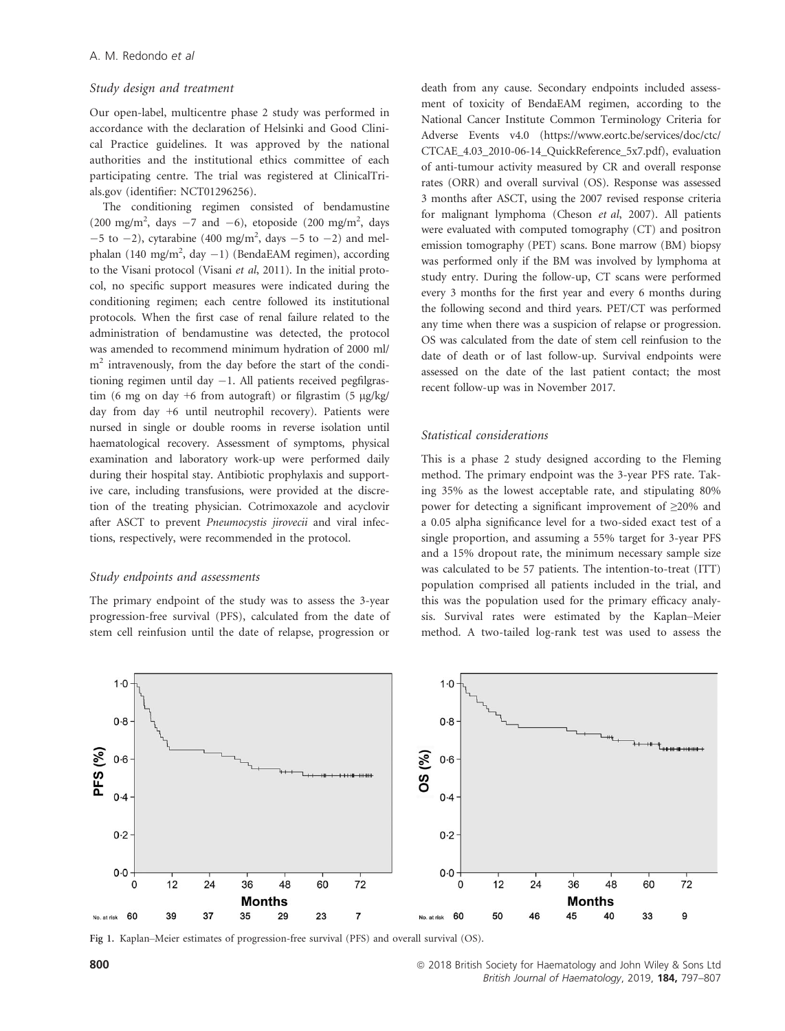#### Study design and treatment

Our open-label, multicentre phase 2 study was performed in accordance with the declaration of Helsinki and Good Clinical Practice guidelines. It was approved by the national authorities and the institutional ethics committee of each participating centre. The trial was registered at ClinicalTrials.gov (identifier: NCT01296256).

The conditioning regimen consisted of bendamustine (200 mg/m<sup>2</sup>, days  $-7$  and  $-6$ ), etoposide (200 mg/m<sup>2</sup>, days  $-5$  to  $-2$ ), cytarabine (400 mg/m<sup>2</sup>, days  $-5$  to  $-2$ ) and melphalan (140 mg/m<sup>2</sup>, day  $-1$ ) (BendaEAM regimen), according to the Visani protocol (Visani et al, 2011). In the initial protocol, no specific support measures were indicated during the conditioning regimen; each centre followed its institutional protocols. When the first case of renal failure related to the administration of bendamustine was detected, the protocol was amended to recommend minimum hydration of 2000 ml/ m<sup>2</sup> intravenously, from the day before the start of the conditioning regimen until day  $-1$ . All patients received pegfilgrastim (6 mg on day +6 from autograft) or filgrastim (5  $\mu$ g/kg/ day from day +6 until neutrophil recovery). Patients were nursed in single or double rooms in reverse isolation until haematological recovery. Assessment of symptoms, physical examination and laboratory work-up were performed daily during their hospital stay. Antibiotic prophylaxis and supportive care, including transfusions, were provided at the discretion of the treating physician. Cotrimoxazole and acyclovir after ASCT to prevent Pneumocystis jirovecii and viral infections, respectively, were recommended in the protocol.

#### Study endpoints and assessments

The primary endpoint of the study was to assess the 3-year progression-free survival (PFS), calculated from the date of stem cell reinfusion until the date of relapse, progression or

death from any cause. Secondary endpoints included assessment of toxicity of BendaEAM regimen, according to the National Cancer Institute Common Terminology Criteria for Adverse Events v4.0 ([https://www.eortc.be/services/doc/ctc/](https://www.eortc.be/services/doc/ctc/CTCAE_4.03_2010-06-14_QuickReference_5x7.pdf) [CTCAE\\_4.03\\_2010-06-14\\_QuickReference\\_5x7.pdf\)](https://www.eortc.be/services/doc/ctc/CTCAE_4.03_2010-06-14_QuickReference_5x7.pdf), evaluation of anti-tumour activity measured by CR and overall response rates (ORR) and overall survival (OS). Response was assessed 3 months after ASCT, using the 2007 revised response criteria for malignant lymphoma (Cheson et al, 2007). All patients were evaluated with computed tomography (CT) and positron emission tomography (PET) scans. Bone marrow (BM) biopsy was performed only if the BM was involved by lymphoma at study entry. During the follow-up, CT scans were performed every 3 months for the first year and every 6 months during the following second and third years. PET/CT was performed any time when there was a suspicion of relapse or progression. OS was calculated from the date of stem cell reinfusion to the date of death or of last follow-up. Survival endpoints were assessed on the date of the last patient contact; the most recent follow-up was in November 2017.

## Statistical considerations

This is a phase 2 study designed according to the Fleming method. The primary endpoint was the 3-year PFS rate. Taking 35% as the lowest acceptable rate, and stipulating 80% power for detecting a significant improvement of ≥20% and a 0.05 alpha significance level for a two-sided exact test of a single proportion, and assuming a 55% target for 3-year PFS and a 15% dropout rate, the minimum necessary sample size was calculated to be 57 patients. The intention-to-treat (ITT) population comprised all patients included in the trial, and this was the population used for the primary efficacy analysis. Survival rates were estimated by the Kaplan–Meier method. A two-tailed log-rank test was used to assess the



Fig 1. Kaplan–Meier estimates of progression-free survival (PFS) and overall survival (OS).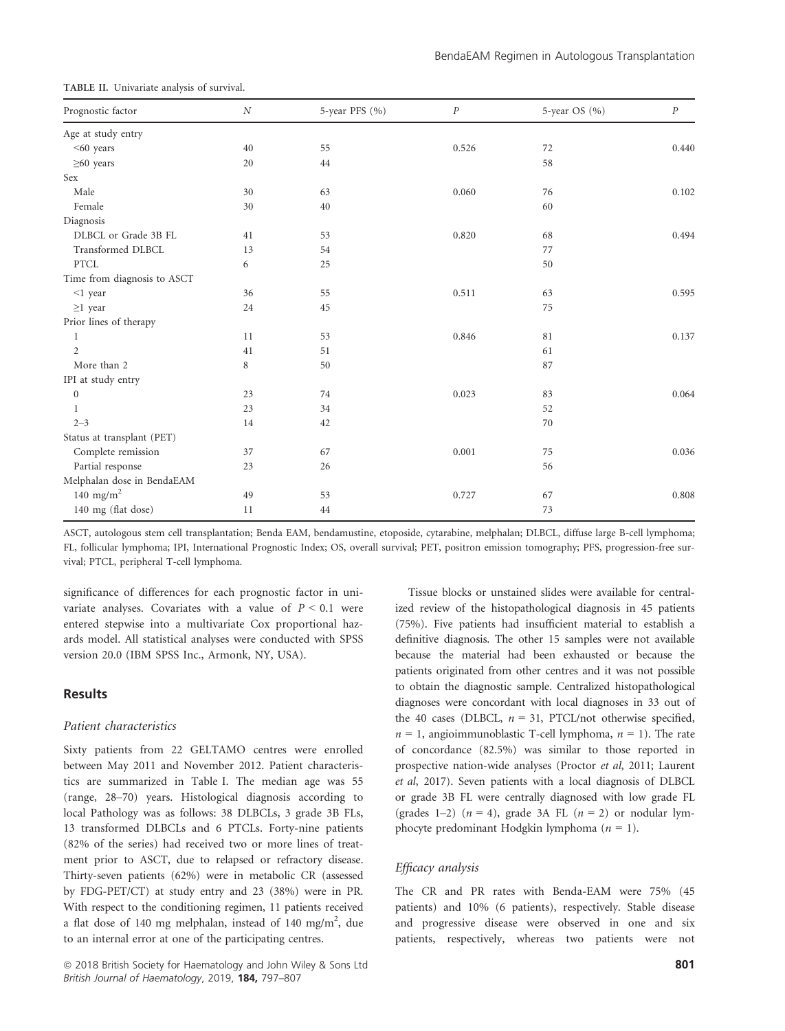| 0.440 |
|-------|
|       |
|       |
|       |
|       |
|       |
| 0.102 |
|       |
|       |
| 0.494 |
|       |
|       |
|       |
| 0.595 |
|       |
|       |
| 0.137 |
|       |
|       |
|       |
| 0.064 |
|       |
|       |
|       |
| 0.036 |
|       |
|       |
| 0.808 |
|       |
|       |

TABLE II. Univariate analysis of survival.

ASCT, autologous stem cell transplantation; Benda EAM, bendamustine, etoposide, cytarabine, melphalan; DLBCL, diffuse large B-cell lymphoma; FL, follicular lymphoma; IPI, International Prognostic Index; OS, overall survival; PET, positron emission tomography; PFS, progression-free survival; PTCL, peripheral T-cell lymphoma.

significance of differences for each prognostic factor in univariate analyses. Covariates with a value of  $P < 0.1$  were entered stepwise into a multivariate Cox proportional hazards model. All statistical analyses were conducted with SPSS version 20.0 (IBM SPSS Inc., Armonk, NY, USA).

# Results

#### Patient characteristics

Sixty patients from 22 GELTAMO centres were enrolled between May 2011 and November 2012. Patient characteristics are summarized in Table I. The median age was 55 (range, 28–70) years. Histological diagnosis according to local Pathology was as follows: 38 DLBCLs, 3 grade 3B FLs, 13 transformed DLBCLs and 6 PTCLs. Forty-nine patients (82% of the series) had received two or more lines of treatment prior to ASCT, due to relapsed or refractory disease. Thirty-seven patients (62%) were in metabolic CR (assessed by FDG-PET/CT) at study entry and 23 (38%) were in PR. With respect to the conditioning regimen, 11 patients received a flat dose of 140 mg melphalan, instead of 140 mg/m<sup>2</sup>, due to an internal error at one of the participating centres.

 $\degree$  2018 British Society for Haematology and John Wiley & Sons Ltd 801 British Journal of Haematology, 2019, 184, 797–807

Tissue blocks or unstained slides were available for centralized review of the histopathological diagnosis in 45 patients (75%). Five patients had insufficient material to establish a definitive diagnosis. The other 15 samples were not available because the material had been exhausted or because the patients originated from other centres and it was not possible to obtain the diagnostic sample. Centralized histopathological diagnoses were concordant with local diagnoses in 33 out of the 40 cases (DLBCL,  $n = 31$ , PTCL/not otherwise specified,  $n = 1$ , angioimmunoblastic T-cell lymphoma,  $n = 1$ ). The rate of concordance (82.5%) was similar to those reported in prospective nation-wide analyses (Proctor et al, 2011; Laurent et al, 2017). Seven patients with a local diagnosis of DLBCL or grade 3B FL were centrally diagnosed with low grade FL (grades 1–2) ( $n = 4$ ), grade 3A FL ( $n = 2$ ) or nodular lymphocyte predominant Hodgkin lymphoma ( $n = 1$ ).

## Efficacy analysis

The CR and PR rates with Benda-EAM were 75% (45 patients) and 10% (6 patients), respectively. Stable disease and progressive disease were observed in one and six patients, respectively, whereas two patients were not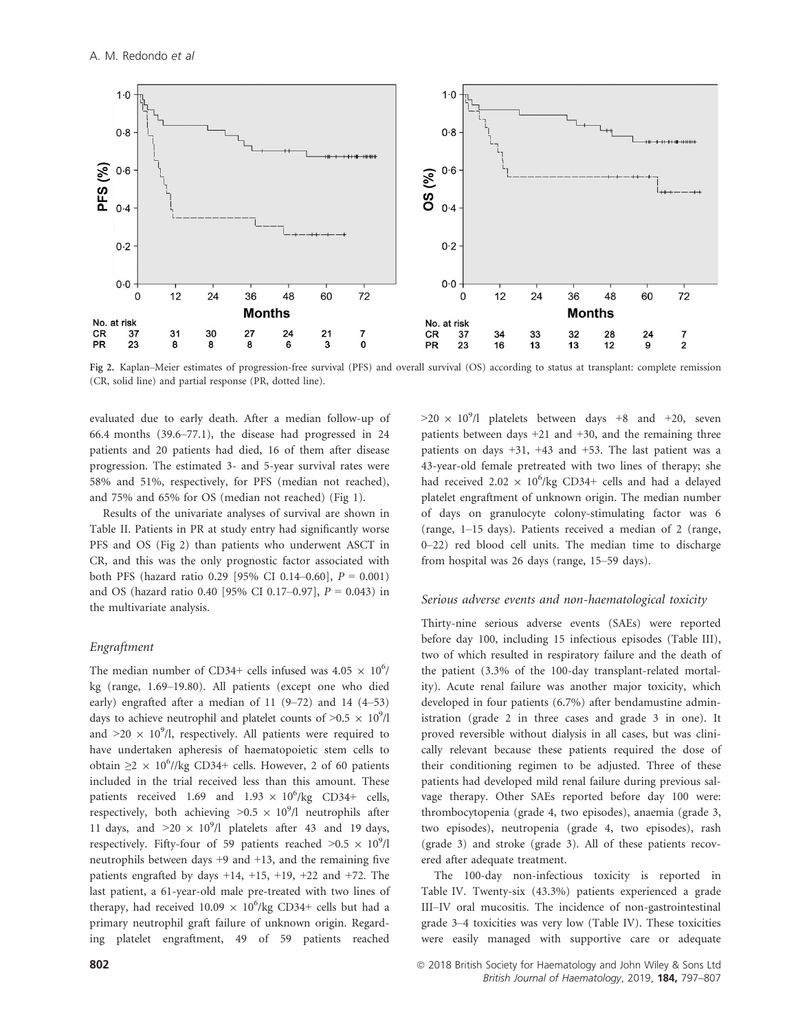

Fig 2. Kaplan–Meier estimates of progression-free survival (PFS) and overall survival (OS) according to status at transplant: complete remission (CR, solid line) and partial response (PR, dotted line).

evaluated due to early death. After a median follow-up of 66.4 months (39.6–77.1), the disease had progressed in 24 patients and 20 patients had died, 16 of them after disease progression. The estimated 3- and 5-year survival rates were 58% and 51%, respectively, for PFS (median not reached), and 75% and 65% for OS (median not reached) (Fig 1).

Results of the univariate analyses of survival are shown in Table II. Patients in PR at study entry had significantly worse PFS and OS (Fig 2) than patients who underwent ASCT in CR, and this was the only prognostic factor associated with both PFS (hazard ratio 0.29 [95% CI 0.14–0.60],  $P = 0.001$ ) and OS (hazard ratio 0.40 [95% CI 0.17–0.97],  $P = 0.043$ ) in the multivariate analysis.

### Engraftment

The median number of CD34+ cells infused was  $4.05 \times 10^6/$ kg (range, 1.69–19.80). All patients (except one who died early) engrafted after a median of 11 (9–72) and 14 (4–53) days to achieve neutrophil and platelet counts of  $>0.5 \times 10^9$ /l and  $>$ 20  $\times$  10<sup>9</sup>/l, respectively. All patients were required to have undertaken apheresis of haematopoietic stem cells to obtain  $\geq$  2 × 10<sup>6</sup>//kg CD34+ cells. However, 2 of 60 patients included in the trial received less than this amount. These patients received 1.69 and  $1.93 \times 10^6$ /kg CD34+ cells, respectively, both achieving  $> 0.5 \times 10^9$ /l neutrophils after 11 days, and  $>20 \times 10^9$ /l platelets after 43 and 19 days, respectively. Fifty-four of 59 patients reached  $>0.5 \times 10^9$ /l neutrophils between days +9 and +13, and the remaining five patients engrafted by days  $+14$ ,  $+15$ ,  $+19$ ,  $+22$  and  $+72$ . The last patient, a 61-year-old male pre-treated with two lines of therapy, had received  $10.09 \times 10^6$ /kg CD34+ cells but had a primary neutrophil graft failure of unknown origin. Regarding platelet engraftment, 49 of 59 patients reached  $>$ 20  $\times$  10<sup>9</sup>/l platelets between days +8 and +20, seven patients between days +21 and +30, and the remaining three patients on days +31, +43 and +53. The last patient was a 43-year-old female pretreated with two lines of therapy; she had received  $2.02 \times 10^6$ /kg CD34+ cells and had a delayed platelet engraftment of unknown origin. The median number of days on granulocyte colony-stimulating factor was 6 (range, 1–15 days). Patients received a median of 2 (range, 0–22) red blood cell units. The median time to discharge from hospital was 26 days (range, 15–59 days).

#### Serious adverse events and non-haematological toxicity

Thirty-nine serious adverse events (SAEs) were reported before day 100, including 15 infectious episodes (Table III), two of which resulted in respiratory failure and the death of the patient (3.3% of the 100-day transplant-related mortality). Acute renal failure was another major toxicity, which developed in four patients (6.7%) after bendamustine administration (grade 2 in three cases and grade 3 in one). It proved reversible without dialysis in all cases, but was clinically relevant because these patients required the dose of their conditioning regimen to be adjusted. Three of these patients had developed mild renal failure during previous salvage therapy. Other SAEs reported before day 100 were: thrombocytopenia (grade 4, two episodes), anaemia (grade 3, two episodes), neutropenia (grade 4, two episodes), rash (grade 3) and stroke (grade 3). All of these patients recovered after adequate treatment.

The 100-day non-infectious toxicity is reported in Table IV. Twenty-six (43.3%) patients experienced a grade III–IV oral mucositis. The incidence of non-gastrointestinal grade 3–4 toxicities was very low (Table IV). These toxicities were easily managed with supportive care or adequate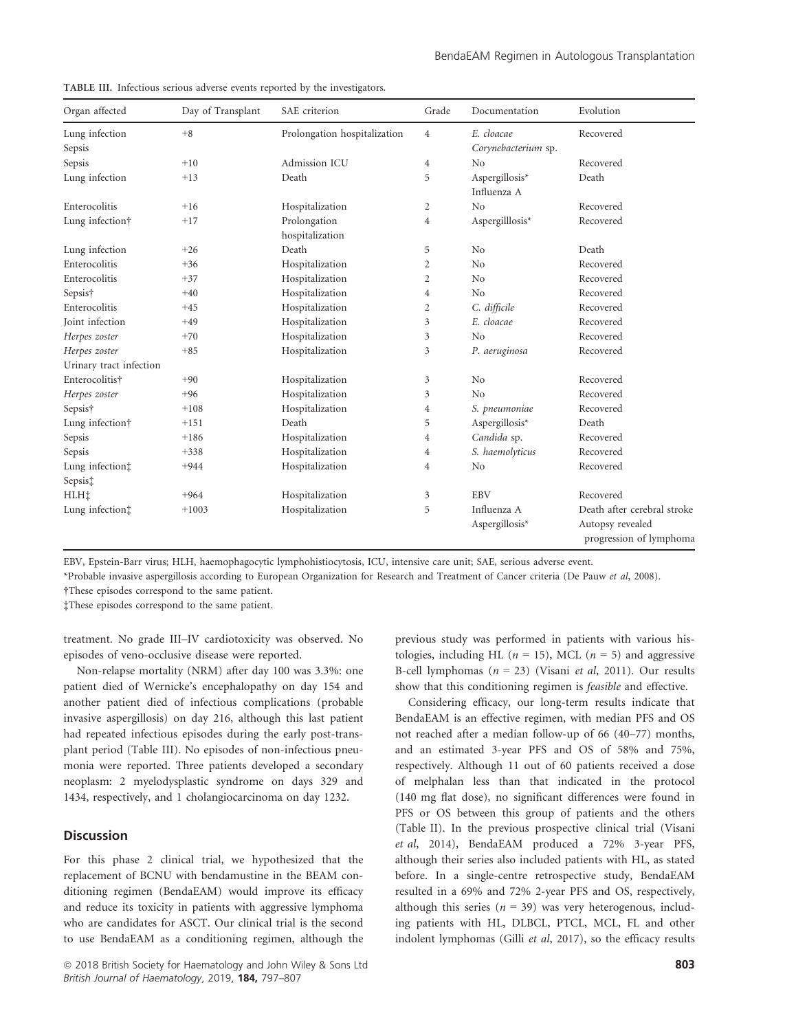| Organ affected              | Day of Transplant | SAE criterion                   | Grade          | Documentation                     | Evolution                                                                  |
|-----------------------------|-------------------|---------------------------------|----------------|-----------------------------------|----------------------------------------------------------------------------|
| Lung infection<br>Sepsis    | $+8$              | Prolongation hospitalization    | $\overline{4}$ | E. cloacae<br>Corynebacterium sp. | Recovered                                                                  |
| Sepsis                      | $+10$             | Admission ICU                   | $\overline{4}$ | No                                | Recovered                                                                  |
| Lung infection              | $+13$             | Death                           | 5              | Aspergillosis*<br>Influenza A     | Death                                                                      |
| Enterocolitis               | $+16$             | Hospitalization                 | 2              | No                                | Recovered                                                                  |
| Lung infection†             | $+17$             | Prolongation<br>hospitalization | $\overline{4}$ | Aspergilllosis*                   | Recovered                                                                  |
| Lung infection              | $+26$             | Death                           | 5              | N <sub>o</sub>                    | Death                                                                      |
| Enterocolitis               | $+36$             | Hospitalization                 | 2              | N <sub>o</sub>                    | Recovered                                                                  |
| Enterocolitis               | $+37$             | Hospitalization                 | 2              | N <sub>o</sub>                    | Recovered                                                                  |
| Sepsis†                     | $+40$             | Hospitalization                 | 4              | N <sub>o</sub>                    | Recovered                                                                  |
| Enterocolitis               | $+45$             | Hospitalization                 | 2              | C. difficile                      | Recovered                                                                  |
| Joint infection             | $+49$             | Hospitalization                 | 3              | E. cloacae                        | Recovered                                                                  |
| Herpes zoster               | $+70$             | Hospitalization                 | 3              | No                                | Recovered                                                                  |
| Herpes zoster               | $+85$             | Hospitalization                 | 3              | P. aeruginosa                     | Recovered                                                                  |
| Urinary tract infection     |                   |                                 |                |                                   |                                                                            |
| Enterocolitis†              | $+90$             | Hospitalization                 | 3              | No                                | Recovered                                                                  |
| Herpes zoster               | $+96$             | Hospitalization                 | 3              | N <sub>o</sub>                    | Recovered                                                                  |
| Sepsis†                     | $+108$            | Hospitalization                 | 4              | S. pneumoniae                     | Recovered                                                                  |
| Lung infection†             | $+151$            | Death                           | 5              | Aspergillosis*                    | Death                                                                      |
| Sepsis                      | $+186$            | Hospitalization                 | 4              | Candida sp.                       | Recovered                                                                  |
| Sepsis                      | $+338$            | Hospitalization                 | 4              | S. haemolyticus                   | Recovered                                                                  |
| Lung infection <sup>†</sup> | $+944$            | Hospitalization                 | 4              | No                                | Recovered                                                                  |
| Sepsist                     |                   |                                 |                |                                   |                                                                            |
| HLHt                        | $+964$            | Hospitalization                 | 3              | <b>EBV</b>                        | Recovered                                                                  |
| Lung infection:             | $+1003$           | Hospitalization                 | 5              | Influenza A<br>Aspergillosis*     | Death after cerebral stroke<br>Autopsy revealed<br>progression of lymphoma |

TABLE III. Infectious serious adverse events reported by the investigators.

EBV, Epstein-Barr virus; HLH, haemophagocytic lymphohistiocytosis, ICU, intensive care unit; SAE, serious adverse event.

\*Probable invasive aspergillosis according to European Organization for Research and Treatment of Cancer criteria (De Pauw et al, 2008). †These episodes correspond to the same patient.

‡These episodes correspond to the same patient.

treatment. No grade III–IV cardiotoxicity was observed. No episodes of veno-occlusive disease were reported.

Non-relapse mortality (NRM) after day 100 was 3.3%: one patient died of Wernicke's encephalopathy on day 154 and another patient died of infectious complications (probable invasive aspergillosis) on day 216, although this last patient had repeated infectious episodes during the early post-transplant period (Table III). No episodes of non-infectious pneumonia were reported. Three patients developed a secondary neoplasm: 2 myelodysplastic syndrome on days 329 and 1434, respectively, and 1 cholangiocarcinoma on day 1232.

# **Discussion**

For this phase 2 clinical trial, we hypothesized that the replacement of BCNU with bendamustine in the BEAM conditioning regimen (BendaEAM) would improve its efficacy and reduce its toxicity in patients with aggressive lymphoma who are candidates for ASCT. Our clinical trial is the second to use BendaEAM as a conditioning regimen, although the

 $\degree$  2018 British Society for Haematology and John Wiley & Sons Ltd 803 British Journal of Haematology, 2019, 184, 797–807

previous study was performed in patients with various histologies, including HL ( $n = 15$ ), MCL ( $n = 5$ ) and aggressive B-cell lymphomas ( $n = 23$ ) (Visani et al, 2011). Our results show that this conditioning regimen is feasible and effective.

Considering efficacy, our long-term results indicate that BendaEAM is an effective regimen, with median PFS and OS not reached after a median follow-up of 66 (40–77) months, and an estimated 3-year PFS and OS of 58% and 75%, respectively. Although 11 out of 60 patients received a dose of melphalan less than that indicated in the protocol (140 mg flat dose), no significant differences were found in PFS or OS between this group of patients and the others (Table II). In the previous prospective clinical trial (Visani et al, 2014), BendaEAM produced a 72% 3-year PFS, although their series also included patients with HL, as stated before. In a single-centre retrospective study, BendaEAM resulted in a 69% and 72% 2-year PFS and OS, respectively, although this series ( $n = 39$ ) was very heterogenous, including patients with HL, DLBCL, PTCL, MCL, FL and other indolent lymphomas (Gilli et al, 2017), so the efficacy results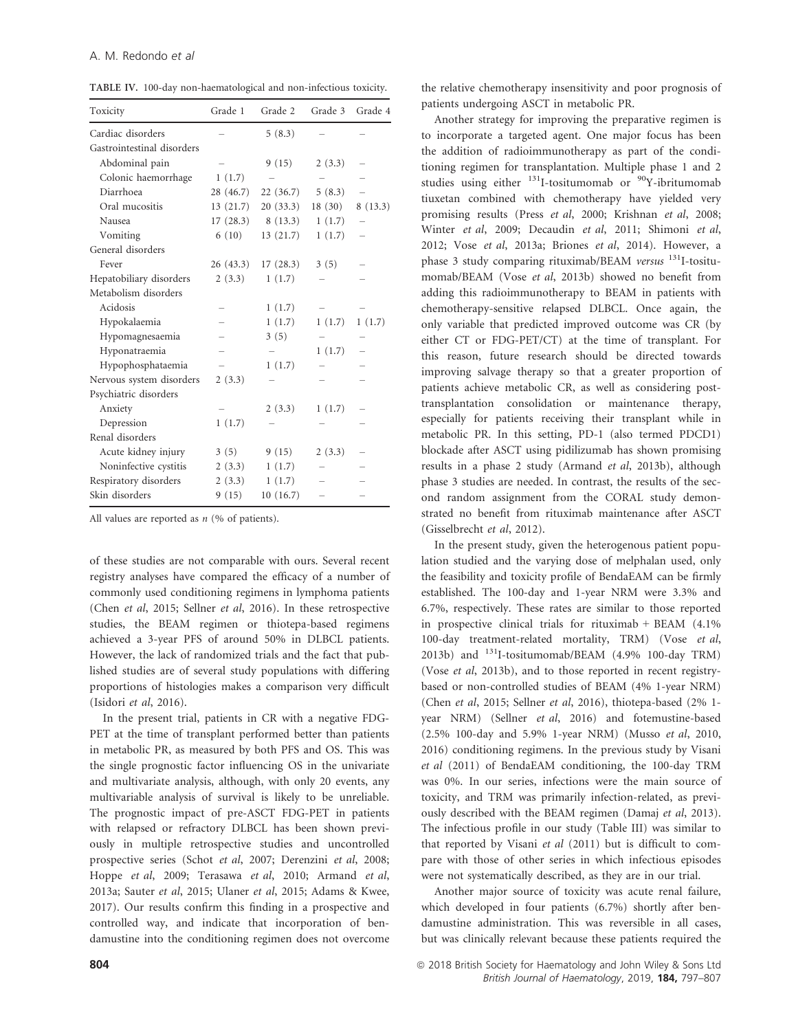TABLE IV. 100-day non-haematological and non-infectious toxicity.

| Toxicity                   | Grade 1   | Grade 2  | Grade 3 | Grade 4 |
|----------------------------|-----------|----------|---------|---------|
| Cardiac disorders          |           | 5(8.3)   |         |         |
| Gastrointestinal disorders |           |          |         |         |
| Abdominal pain             |           | 9(15)    | 2(3.3)  |         |
| Colonic haemorrhage        | 1(1.7)    |          |         |         |
| Diarrhoea                  | 28 (46.7) | 22(36.7) | 5(8.3)  |         |
| Oral mucositis             | 13(21.7)  | 20(33.3) | 18(30)  | 8(13.3) |
| Nausea                     | 17(28.3)  | 8(13.3)  | 1(1.7)  |         |
| Vomiting                   | 6(10)     | 13(21.7) | 1(1.7)  |         |
| General disorders          |           |          |         |         |
| Fever                      | 26(43.3)  | 17(28.3) | 3(5)    |         |
| Hepatobiliary disorders    | 2(3.3)    | 1(1.7)   |         |         |
| Metabolism disorders       |           |          |         |         |
| Acidosis                   |           | 1(1.7)   |         |         |
| Hypokalaemia               |           | 1(1.7)   | 1(1.7)  | 1(1.7)  |
| Hypomagnesaemia            |           | 3(5)     |         |         |
| Hyponatraemia              |           |          | 1(1.7)  |         |
| Hypophosphataemia          |           | 1(1.7)   |         |         |
| Nervous system disorders   | 2(3.3)    |          |         |         |
| Psychiatric disorders      |           |          |         |         |
| Anxiety                    |           | 2(3.3)   | 1(1.7)  |         |
| Depression                 | 1(1.7)    |          |         |         |
| Renal disorders            |           |          |         |         |
| Acute kidney injury        | 3(5)      | 9(15)    | 2(3.3)  |         |
| Noninfective cystitis      | 2(3.3)    | 1(1.7)   |         |         |
| Respiratory disorders      | 2(3.3)    | 1(1.7)   |         |         |
| Skin disorders             | 9(15)     | 10(16.7) |         |         |

All values are reported as  $n$  (% of patients).

of these studies are not comparable with ours. Several recent registry analyses have compared the efficacy of a number of commonly used conditioning regimens in lymphoma patients (Chen et al, 2015; Sellner et al, 2016). In these retrospective studies, the BEAM regimen or thiotepa-based regimens achieved a 3-year PFS of around 50% in DLBCL patients. However, the lack of randomized trials and the fact that published studies are of several study populations with differing proportions of histologies makes a comparison very difficult (Isidori et al, 2016).

In the present trial, patients in CR with a negative FDG-PET at the time of transplant performed better than patients in metabolic PR, as measured by both PFS and OS. This was the single prognostic factor influencing OS in the univariate and multivariate analysis, although, with only 20 events, any multivariable analysis of survival is likely to be unreliable. The prognostic impact of pre-ASCT FDG-PET in patients with relapsed or refractory DLBCL has been shown previously in multiple retrospective studies and uncontrolled prospective series (Schot et al, 2007; Derenzini et al, 2008; Hoppe et al, 2009; Terasawa et al, 2010; Armand et al, 2013a; Sauter et al, 2015; Ulaner et al, 2015; Adams & Kwee, 2017). Our results confirm this finding in a prospective and controlled way, and indicate that incorporation of bendamustine into the conditioning regimen does not overcome

Another strategy for improving the preparative regimen is to incorporate a targeted agent. One major focus has been the addition of radioimmunotherapy as part of the conditioning regimen for transplantation. Multiple phase 1 and 2 studies using either  $^{131}$ I-tositumomab or  $^{90}$ Y-ibritumomab tiuxetan combined with chemotherapy have yielded very promising results (Press et al, 2000; Krishnan et al, 2008; Winter et al, 2009; Decaudin et al, 2011; Shimoni et al, 2012; Vose et al, 2013a; Briones et al, 2014). However, a phase 3 study comparing rituximab/BEAM versus <sup>131</sup>I-tositumomab/BEAM (Vose et al, 2013b) showed no benefit from adding this radioimmunotherapy to BEAM in patients with chemotherapy-sensitive relapsed DLBCL. Once again, the only variable that predicted improved outcome was CR (by either CT or FDG-PET/CT) at the time of transplant. For this reason, future research should be directed towards improving salvage therapy so that a greater proportion of patients achieve metabolic CR, as well as considering posttransplantation consolidation or maintenance therapy, especially for patients receiving their transplant while in metabolic PR. In this setting, PD-1 (also termed PDCD1) blockade after ASCT using pidilizumab has shown promising results in a phase 2 study (Armand et al, 2013b), although phase 3 studies are needed. In contrast, the results of the second random assignment from the CORAL study demonstrated no benefit from rituximab maintenance after ASCT (Gisselbrecht et al, 2012).

In the present study, given the heterogenous patient population studied and the varying dose of melphalan used, only the feasibility and toxicity profile of BendaEAM can be firmly established. The 100-day and 1-year NRM were 3.3% and 6.7%, respectively. These rates are similar to those reported in prospective clinical trials for rituximab + BEAM (4.1% 100-day treatment-related mortality, TRM) (Vose et al, 2013b) and 131I-tositumomab/BEAM (4.9% 100-day TRM) (Vose et al, 2013b), and to those reported in recent registrybased or non-controlled studies of BEAM (4% 1-year NRM) (Chen et al, 2015; Sellner et al, 2016), thiotepa-based (2% 1 year NRM) (Sellner et al, 2016) and fotemustine-based (2.5% 100-day and 5.9% 1-year NRM) (Musso et al, 2010, 2016) conditioning regimens. In the previous study by Visani et al (2011) of BendaEAM conditioning, the 100-day TRM was 0%. In our series, infections were the main source of toxicity, and TRM was primarily infection-related, as previously described with the BEAM regimen (Damaj et al, 2013). The infectious profile in our study (Table III) was similar to that reported by Visani et al (2011) but is difficult to compare with those of other series in which infectious episodes were not systematically described, as they are in our trial.

Another major source of toxicity was acute renal failure, which developed in four patients (6.7%) shortly after bendamustine administration. This was reversible in all cases, but was clinically relevant because these patients required the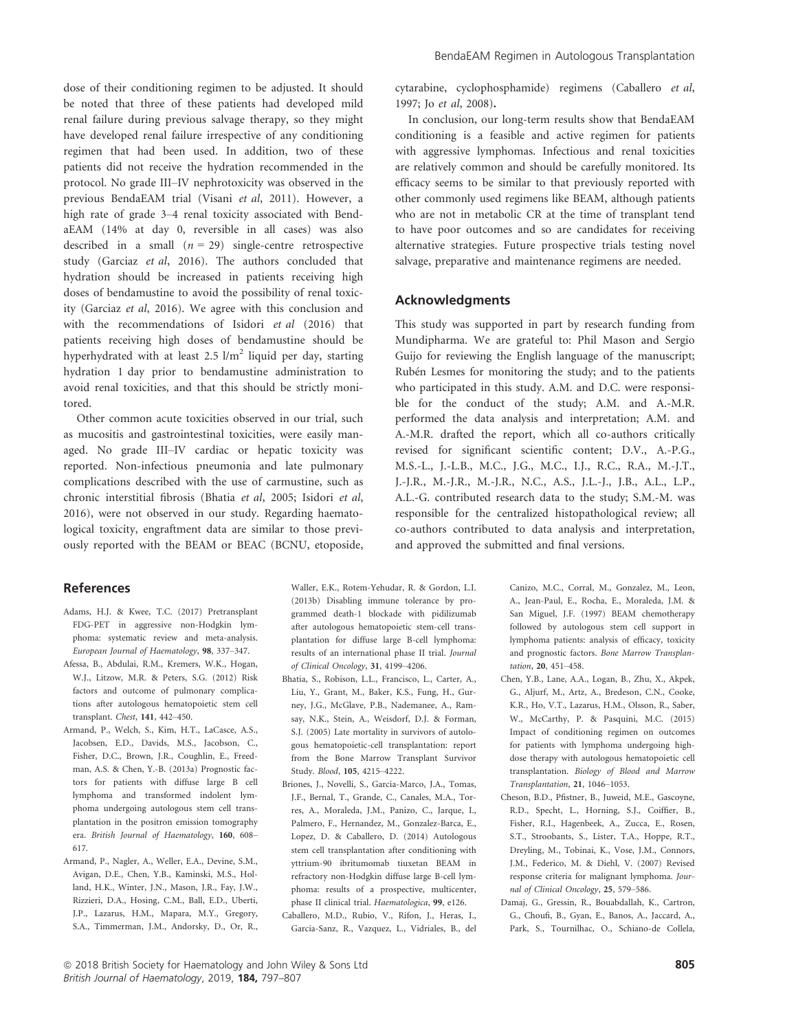dose of their conditioning regimen to be adjusted. It should be noted that three of these patients had developed mild renal failure during previous salvage therapy, so they might have developed renal failure irrespective of any conditioning regimen that had been used. In addition, two of these patients did not receive the hydration recommended in the protocol. No grade III–IV nephrotoxicity was observed in the previous BendaEAM trial (Visani et al, 2011). However, a high rate of grade 3–4 renal toxicity associated with BendaEAM (14% at day 0, reversible in all cases) was also described in a small  $(n = 29)$  single-centre retrospective study (Garciaz et al, 2016). The authors concluded that hydration should be increased in patients receiving high doses of bendamustine to avoid the possibility of renal toxicity (Garciaz et al, 2016). We agree with this conclusion and with the recommendations of Isidori et al (2016) that patients receiving high doses of bendamustine should be hyperhydrated with at least  $2.5$  l/m<sup>2</sup> liquid per day, starting hydration 1 day prior to bendamustine administration to avoid renal toxicities, and that this should be strictly monitored.

Other common acute toxicities observed in our trial, such as mucositis and gastrointestinal toxicities, were easily managed. No grade III–IV cardiac or hepatic toxicity was reported. Non-infectious pneumonia and late pulmonary complications described with the use of carmustine, such as chronic interstitial fibrosis (Bhatia et al, 2005; Isidori et al, 2016), were not observed in our study. Regarding haematological toxicity, engraftment data are similar to those previously reported with the BEAM or BEAC (BCNU, etoposide,

# References

- Adams, H.J. & Kwee, T.C. (2017) Pretransplant FDG-PET in aggressive non-Hodgkin lymphoma: systematic review and meta-analysis. European Journal of Haematology, 98, 337–347.
- Afessa, B., Abdulai, R.M., Kremers, W.K., Hogan, W.J., Litzow, M.R. & Peters, S.G. (2012) Risk factors and outcome of pulmonary complications after autologous hematopoietic stem cell transplant. Chest, 141, 442–450.
- Armand, P., Welch, S., Kim, H.T., LaCasce, A.S., Jacobsen, E.D., Davids, M.S., Jacobson, C., Fisher, D.C., Brown, J.R., Coughlin, E., Freedman, A.S. & Chen, Y.-B. (2013a) Prognostic factors for patients with diffuse large B cell lymphoma and transformed indolent lymphoma undergoing autologous stem cell transplantation in the positron emission tomography era. British Journal of Haematology, 160, 608– 617.
- Armand, P., Nagler, A., Weller, E.A., Devine, S.M., Avigan, D.E., Chen, Y.B., Kaminski, M.S., Holland, H.K., Winter, J.N., Mason, J.R., Fay, J.W., Rizzieri, D.A., Hosing, C.M., Ball, E.D., Uberti, J.P., Lazarus, H.M., Mapara, M.Y., Gregory, S.A., Timmerman, J.M., Andorsky, D., Or, R.,

Waller, E.K., Rotem-Yehudar, R. & Gordon, L.I. (2013b) Disabling immune tolerance by programmed death-1 blockade with pidilizumab after autologous hematopoietic stem-cell transplantation for diffuse large B-cell lymphoma: results of an international phase II trial. Journal of Clinical Oncology, 31, 4199–4206.

- Bhatia, S., Robison, L.L., Francisco, L., Carter, A., Liu, Y., Grant, M., Baker, K.S., Fung, H., Gurney, J.G., McGlave, P.B., Nademanee, A., Ramsay, N.K., Stein, A., Weisdorf, D.J. & Forman, S.J. (2005) Late mortality in survivors of autologous hematopoietic-cell transplantation: report from the Bone Marrow Transplant Survivor Study. Blood, 105, 4215–4222.
- Briones, J., Novelli, S., Garcia-Marco, J.A., Tomas, J.F., Bernal, T., Grande, C., Canales, M.A., Torres, A., Moraleda, J.M., Panizo, C., Jarque, I., Palmero, F., Hernandez, M., Gonzalez-Barca, E., Lopez, D. & Caballero, D. (2014) Autologous stem cell transplantation after conditioning with yttrium-90 ibritumomab tiuxetan BEAM in refractory non-Hodgkin diffuse large B-cell lymphoma: results of a prospective, multicenter, phase II clinical trial. Haematologica, 99, e126.
- Caballero, M.D., Rubio, V., Rifon, J., Heras, I., Garcia-Sanz, R., Vazquez, L., Vidriales, B., del

cytarabine, cyclophosphamide) regimens (Caballero et al, 1997; Jo et al, 2008).

In conclusion, our long-term results show that BendaEAM conditioning is a feasible and active regimen for patients with aggressive lymphomas. Infectious and renal toxicities are relatively common and should be carefully monitored. Its efficacy seems to be similar to that previously reported with other commonly used regimens like BEAM, although patients who are not in metabolic CR at the time of transplant tend to have poor outcomes and so are candidates for receiving alternative strategies. Future prospective trials testing novel salvage, preparative and maintenance regimens are needed.

## Acknowledgments

This study was supported in part by research funding from Mundipharma. We are grateful to: Phil Mason and Sergio Guijo for reviewing the English language of the manuscript; Rubén Lesmes for monitoring the study; and to the patients who participated in this study. A.M. and D.C. were responsible for the conduct of the study; A.M. and A.-M.R. performed the data analysis and interpretation; A.M. and A.-M.R. drafted the report, which all co-authors critically revised for significant scientific content; D.V., A.-P.G., M.S.-L., J.-L.B., M.C., J.G., M.C., I.J., R.C., R.A., M.-J.T., J.-J.R., M.-J.R., M.-J.R., N.C., A.S., J.L.-J., J.B., A.L., L.P., A.L.-G. contributed research data to the study; S.M.-M. was responsible for the centralized histopathological review; all co-authors contributed to data analysis and interpretation, and approved the submitted and final versions.

> Canizo, M.C., Corral, M., Gonzalez, M., Leon, A., Jean-Paul, E., Rocha, E., Moraleda, J.M. & San Miguel, J.F. (1997) BEAM chemotherapy followed by autologous stem cell support in lymphoma patients: analysis of efficacy, toxicity and prognostic factors. Bone Marrow Transplantation, 20, 451–458.

- Chen, Y.B., Lane, A.A., Logan, B., Zhu, X., Akpek, G., Aljurf, M., Artz, A., Bredeson, C.N., Cooke, K.R., Ho, V.T., Lazarus, H.M., Olsson, R., Saber, W., McCarthy, P. & Pasquini, M.C. (2015) Impact of conditioning regimen on outcomes for patients with lymphoma undergoing highdose therapy with autologous hematopoietic cell transplantation. Biology of Blood and Marrow Transplantation, 21, 1046–1053.
- Cheson, B.D., Pfistner, B., Juweid, M.E., Gascoyne, R.D., Specht, L., Horning, S.J., Coiffier, B., Fisher, R.I., Hagenbeek, A., Zucca, E., Rosen, S.T., Stroobants, S., Lister, T.A., Hoppe, R.T., Dreyling, M., Tobinai, K., Vose, J.M., Connors, J.M., Federico, M. & Diehl, V. (2007) Revised response criteria for malignant lymphoma. Journal of Clinical Oncology, 25, 579–586.
- Damaj, G., Gressin, R., Bouabdallah, K., Cartron, G., Choufi, B., Gyan, E., Banos, A., Jaccard, A., Park, S., Tournilhac, O., Schiano-de Collela,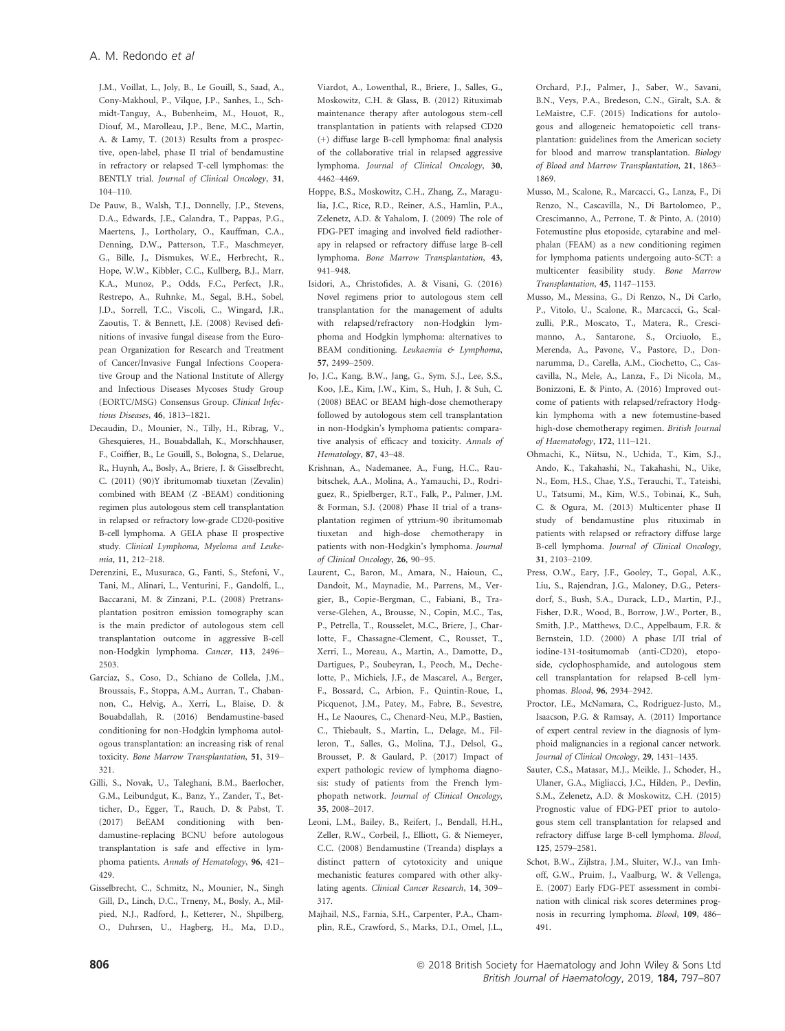J.M., Voillat, L., Joly, B., Le Gouill, S., Saad, A., Cony-Makhoul, P., Vilque, J.P., Sanhes, L., Schmidt-Tanguy, A., Bubenheim, M., Houot, R., Diouf, M., Marolleau, J.P., Bene, M.C., Martin, A. & Lamy, T. (2013) Results from a prospective, open-label, phase II trial of bendamustine in refractory or relapsed T-cell lymphomas: the BENTLY trial. Journal of Clinical Oncology, 31, 104–110.

- De Pauw, B., Walsh, T.J., Donnelly, J.P., Stevens, D.A., Edwards, J.E., Calandra, T., Pappas, P.G., Maertens, J., Lortholary, O., Kauffman, C.A., Denning, D.W., Patterson, T.F., Maschmeyer, G., Bille, J., Dismukes, W.E., Herbrecht, R., Hope, W.W., Kibbler, C.C., Kullberg, B.J., Marr, K.A., Munoz, P., Odds, F.C., Perfect, J.R., Restrepo, A., Ruhnke, M., Segal, B.H., Sobel, J.D., Sorrell, T.C., Viscoli, C., Wingard, J.R., Zaoutis, T. & Bennett, J.E. (2008) Revised definitions of invasive fungal disease from the European Organization for Research and Treatment of Cancer/Invasive Fungal Infections Cooperative Group and the National Institute of Allergy and Infectious Diseases Mycoses Study Group (EORTC/MSG) Consensus Group. Clinical Infectious Diseases, 46, 1813–1821.
- Decaudin, D., Mounier, N., Tilly, H., Ribrag, V., Ghesquieres, H., Bouabdallah, K., Morschhauser, F., Coiffier, B., Le Gouill, S., Bologna, S., Delarue, R., Huynh, A., Bosly, A., Briere, J. & Gisselbrecht, C. (2011) (90)Y ibritumomab tiuxetan (Zevalin) combined with BEAM (Z -BEAM) conditioning regimen plus autologous stem cell transplantation in relapsed or refractory low-grade CD20-positive B-cell lymphoma. A GELA phase II prospective study. Clinical Lymphoma, Myeloma and Leukemia, 11, 212–218.
- Derenzini, E., Musuraca, G., Fanti, S., Stefoni, V., Tani, M., Alinari, L., Venturini, F., Gandolfi, L., Baccarani, M. & Zinzani, P.L. (2008) Pretransplantation positron emission tomography scan is the main predictor of autologous stem cell transplantation outcome in aggressive B-cell non-Hodgkin lymphoma. Cancer, 113, 2496– 2503.
- Garciaz, S., Coso, D., Schiano de Collela, J.M., Broussais, F., Stoppa, A.M., Aurran, T., Chabannon, C., Helvig, A., Xerri, L., Blaise, D. & Bouabdallah, R. (2016) Bendamustine-based conditioning for non-Hodgkin lymphoma autologous transplantation: an increasing risk of renal toxicity. Bone Marrow Transplantation, 51, 319– 321.
- Gilli, S., Novak, U., Taleghani, B.M., Baerlocher, G.M., Leibundgut, K., Banz, Y., Zander, T., Betticher, D., Egger, T., Rauch, D. & Pabst, T. (2017) BeEAM conditioning with bendamustine-replacing BCNU before autologous transplantation is safe and effective in lymphoma patients. Annals of Hematology, 96, 421– 429.
- Gisselbrecht, C., Schmitz, N., Mounier, N., Singh Gill, D., Linch, D.C., Trneny, M., Bosly, A., Milpied, N.J., Radford, J., Ketterer, N., Shpilberg, O., Duhrsen, U., Hagberg, H., Ma, D.D.,

Viardot, A., Lowenthal, R., Briere, J., Salles, G., Moskowitz, C.H. & Glass, B. (2012) Rituximab maintenance therapy after autologous stem-cell transplantation in patients with relapsed CD20 (+) diffuse large B-cell lymphoma: final analysis of the collaborative trial in relapsed aggressive lymphoma. Journal of Clinical Oncology, 30, 4462–4469.

- Hoppe, B.S., Moskowitz, C.H., Zhang, Z., Maragulia, J.C., Rice, R.D., Reiner, A.S., Hamlin, P.A., Zelenetz, A.D. & Yahalom, J. (2009) The role of FDG-PET imaging and involved field radiotherapy in relapsed or refractory diffuse large B-cell lymphoma. Bone Marrow Transplantation, 43, 941–948.
- Isidori, A., Christofides, A. & Visani, G. (2016) Novel regimens prior to autologous stem cell transplantation for the management of adults with relapsed/refractory non-Hodgkin lymphoma and Hodgkin lymphoma: alternatives to BEAM conditioning. Leukaemia & Lymphoma, 57, 2499–2509.
- Jo, J.C., Kang, B.W., Jang, G., Sym, S.J., Lee, S.S., Koo, J.E., Kim, J.W., Kim, S., Huh, J. & Suh, C. (2008) BEAC or BEAM high-dose chemotherapy followed by autologous stem cell transplantation in non-Hodgkin's lymphoma patients: comparative analysis of efficacy and toxicity. Annals of Hematology, 87, 43–48.
- Krishnan, A., Nademanee, A., Fung, H.C., Raubitschek, A.A., Molina, A., Yamauchi, D., Rodriguez, R., Spielberger, R.T., Falk, P., Palmer, J.M. & Forman, S.J. (2008) Phase II trial of a transplantation regimen of yttrium-90 ibritumomab tiuxetan and high-dose chemotherapy in patients with non-Hodgkin's lymphoma. Journal of Clinical Oncology, 26, 90–95.
- Laurent, C., Baron, M., Amara, N., Haioun, C., Dandoit, M., Maynadie, M., Parrens, M., Vergier, B., Copie-Bergman, C., Fabiani, B., Traverse-Glehen, A., Brousse, N., Copin, M.C., Tas, P., Petrella, T., Rousselet, M.C., Briere, J., Charlotte, F., Chassagne-Clement, C., Rousset, T., Xerri, L., Moreau, A., Martin, A., Damotte, D., Dartigues, P., Soubeyran, I., Peoch, M., Dechelotte, P., Michiels, J.F., de Mascarel, A., Berger, F., Bossard, C., Arbion, F., Quintin-Roue, I., Picquenot, J.M., Patey, M., Fabre, B., Sevestre, H., Le Naoures, C., Chenard-Neu, M.P., Bastien, C., Thiebault, S., Martin, L., Delage, M., Filleron, T., Salles, G., Molina, T.J., Delsol, G., Brousset, P. & Gaulard, P. (2017) Impact of expert pathologic review of lymphoma diagnosis: study of patients from the French lymphopath network. Journal of Clinical Oncology, 35, 2008–2017.
- Leoni, L.M., Bailey, B., Reifert, J., Bendall, H.H., Zeller, R.W., Corbeil, J., Elliott, G. & Niemeyer, C.C. (2008) Bendamustine (Treanda) displays a distinct pattern of cytotoxicity and unique mechanistic features compared with other alkylating agents. Clinical Cancer Research, 14, 309– 317.
- Majhail, N.S., Farnia, S.H., Carpenter, P.A., Champlin, R.E., Crawford, S., Marks, D.I., Omel, J.L.,

Orchard, P.J., Palmer, J., Saber, W., Savani, B.N., Veys, P.A., Bredeson, C.N., Giralt, S.A. & LeMaistre, C.F. (2015) Indications for autologous and allogeneic hematopoietic cell transplantation: guidelines from the American society for blood and marrow transplantation. Biology of Blood and Marrow Transplantation, 21, 1863– 1869.

- Musso, M., Scalone, R., Marcacci, G., Lanza, F., Di Renzo, N., Cascavilla, N., Di Bartolomeo, P., Crescimanno, A., Perrone, T. & Pinto, A. (2010) Fotemustine plus etoposide, cytarabine and melphalan (FEAM) as a new conditioning regimen for lymphoma patients undergoing auto-SCT: a multicenter feasibility study. Bone Marrow Transplantation, 45, 1147–1153.
- Musso, M., Messina, G., Di Renzo, N., Di Carlo, P., Vitolo, U., Scalone, R., Marcacci, G., Scalzulli, P.R., Moscato, T., Matera, R., Crescimanno, A., Santarone, S., Orciuolo, E., Merenda, A., Pavone, V., Pastore, D., Donnarumma, D., Carella, A.M., Ciochetto, C., Cascavilla, N., Mele, A., Lanza, F., Di Nicola, M., Bonizzoni, E. & Pinto, A. (2016) Improved outcome of patients with relapsed/refractory Hodgkin lymphoma with a new fotemustine-based high-dose chemotherapy regimen. British Journal of Haematology, 172, 111–121.
- Ohmachi, K., Niitsu, N., Uchida, T., Kim, S.J., Ando, K., Takahashi, N., Takahashi, N., Uike, N., Eom, H.S., Chae, Y.S., Terauchi, T., Tateishi, U., Tatsumi, M., Kim, W.S., Tobinai, K., Suh, C. & Ogura, M. (2013) Multicenter phase II study of bendamustine plus rituximab in patients with relapsed or refractory diffuse large B-cell lymphoma. Journal of Clinical Oncology, 31, 2103–2109.
- Press, O.W., Eary, J.F., Gooley, T., Gopal, A.K., Liu, S., Rajendran, J.G., Maloney, D.G., Petersdorf, S., Bush, S.A., Durack, L.D., Martin, P.J., Fisher, D.R., Wood, B., Borrow, J.W., Porter, B., Smith, J.P., Matthews, D.C., Appelbaum, F.R. & Bernstein, I.D. (2000) A phase I/II trial of iodine-131-tositumomab (anti-CD20), etoposide, cyclophosphamide, and autologous stem cell transplantation for relapsed B-cell lymphomas. Blood, 96, 2934–2942.
- Proctor, I.E., McNamara, C., Rodriguez-Justo, M., Isaacson, P.G. & Ramsay, A. (2011) Importance of expert central review in the diagnosis of lymphoid malignancies in a regional cancer network. Journal of Clinical Oncology, 29, 1431–1435.
- Sauter, C.S., Matasar, M.J., Meikle, J., Schoder, H., Ulaner, G.A., Migliacci, J.C., Hilden, P., Devlin, S.M., Zelenetz, A.D. & Moskowitz, C.H. (2015) Prognostic value of FDG-PET prior to autologous stem cell transplantation for relapsed and refractory diffuse large B-cell lymphoma. Blood, 125, 2579–2581.
- Schot, B.W., Zijlstra, J.M., Sluiter, W.J., van Imhoff, G.W., Pruim, J., Vaalburg, W. & Vellenga, E. (2007) Early FDG-PET assessment in combination with clinical risk scores determines prognosis in recurring lymphoma. Blood, 109, 486– 491.